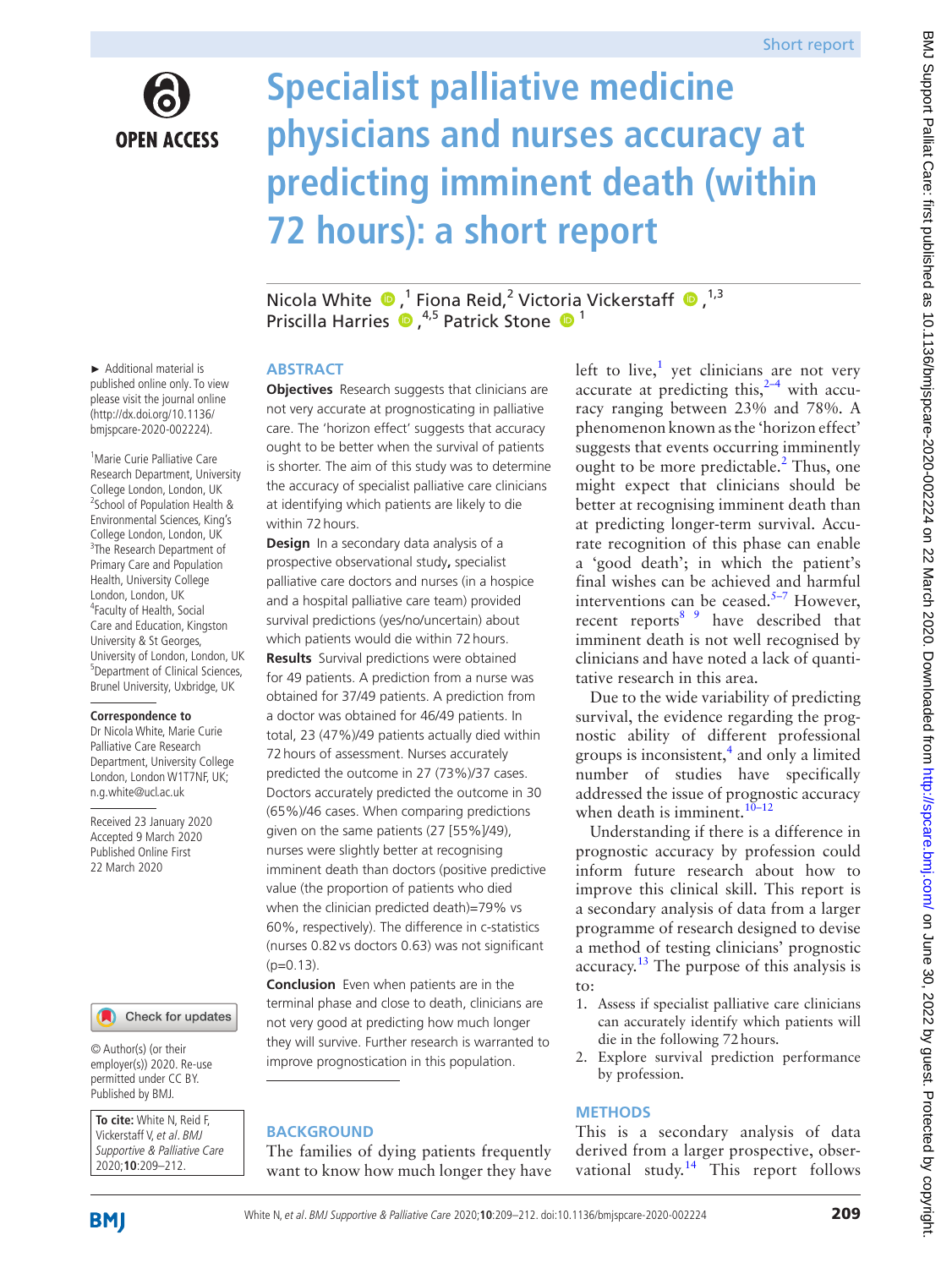

# **Specialist palliative medicine physicians and nurses accuracy at predicting imminent death (within 72 hours): a short report**

NicolaWhite  $\bigcirc$ ,<sup>1</sup> Fiona Reid,<sup>2</sup> Victoria Vickerstaff  $\bigcirc$ ,<sup>1,3</sup> Priscilla Harries <sup>1</sup>,<sup>4,5</sup> Patrick Stone <sup>1</sup>

► Additional material is published online only. To view please visit the journal online (http://dx.doi.org/10.1136/ bmjspcare-2020-002224).

<sup>1</sup> Marie Curie Palliative Care Research Department, University College London, London, UK <sup>2</sup>School of Population Health & Environmental Sciences, King's College London, London, UK <sup>3</sup>The Research Department of Primary Care and Population Health, University College London, London, UK 4 Faculty of Health, Social Care and Education, Kingston University & St Georges, University of London, London, UK 5 Department of Clinical Sciences, Brunel University, Uxbridge, UK

#### **Correspondence to**

Dr Nicola White, Marie Curie Palliative Care Research Department, University College London, London W1T7NF, UK; n.g.white@ucl.ac.uk

Received 23 January 2020 Accepted 9 March 2020 Published Online First 22 March 2020



© Author(s) (or their employer(s)) 2020. Re-use permitted under CC BY. Published by BMJ.

**To cite:** White N, Reid F, Vickerstaff V, et al. BMJ Supportive & Palliative Care 2020;**10**:209–212.

#### **Abstract**

**Objectives** Research suggests that clinicians are not very accurate at prognosticating in palliative care. The 'horizon effect' suggests that accuracy ought to be better when the survival of patients is shorter. The aim of this study was to determine the accuracy of specialist palliative care clinicians at identifying which patients are likely to die within 72hours.

**Design** In a secondary data analysis of a prospective observational study**,** specialist palliative care doctors and nurses (in a hospice and a hospital palliative care team) provided survival predictions (yes/no/uncertain) about which patients would die within 72hours. **Results** Survival predictions were obtained for 49 patients. A prediction from a nurse was obtained for 37/49 patients. A prediction from a doctor was obtained for 46/49 patients. In total, 23 (47%)/49 patients actually died within 72hours of assessment. Nurses accurately predicted the outcome in 27 (73%)/37 cases. Doctors accurately predicted the outcome in 30 (65%)/46 cases. When comparing predictions given on the same patients (27 [55%]/49), nurses were slightly better at recognising imminent death than doctors (positive predictive value (the proportion of patients who died when the clinician predicted death)=79% vs 60%, respectively). The difference in c-statistics (nurses 0.82vs doctors 0.63) was not significant  $(p=0.13)$ .

**Conclusion** Even when patients are in the terminal phase and close to death, clinicians are not very good at predicting how much longer they will survive. Further research is warranted to improve prognostication in this population.

# **BACKGROUND**

The families of dying patients frequently want to know how much longer they have

left to live, $<sup>1</sup>$  yet clinicians are not very</sup> accurate at predicting this, $2-4$  with accuracy ranging between 23% and 78%. A phenomenon known as the 'horizon effect' suggests that events occurring imminently ought to be more predictable.<sup>[2](#page-3-1)</sup> Thus, one might expect that clinicians should be better at recognising imminent death than at predicting longer-term survival. Accurate recognition of this phase can enable a 'good death'; in which the patient's final wishes can be achieved and harmful interventions can be ceased. $5-7$  However, recent reports<sup>8</sup> have described that imminent death is not well recognised by clinicians and have noted a lack of quantitative research in this area.

Due to the wide variability of predicting survival, the evidence regarding the prognostic ability of different professional groups is inconsistent, $4$  and only a limited number of studies have specifically addressed the issue of prognostic accuracy when death is imminent.<sup>10–12</sup>

Understanding if there is a difference in prognostic accuracy by profession could inform future research about how to improve this clinical skill. This report is a secondary analysis of data from a larger programme of research designed to devise a method of testing clinicians' prognostic accuracy.[13](#page-3-6) The purpose of this analysis is to:

- 1. Assess if specialist palliative care clinicians can accurately identify which patients will die in the following 72hours.
- 2. Explore survival prediction performance by profession.

## **Methods**

This is a secondary analysis of data derived from a larger prospective, obser-vational study.<sup>[14](#page-3-7)</sup> This report follows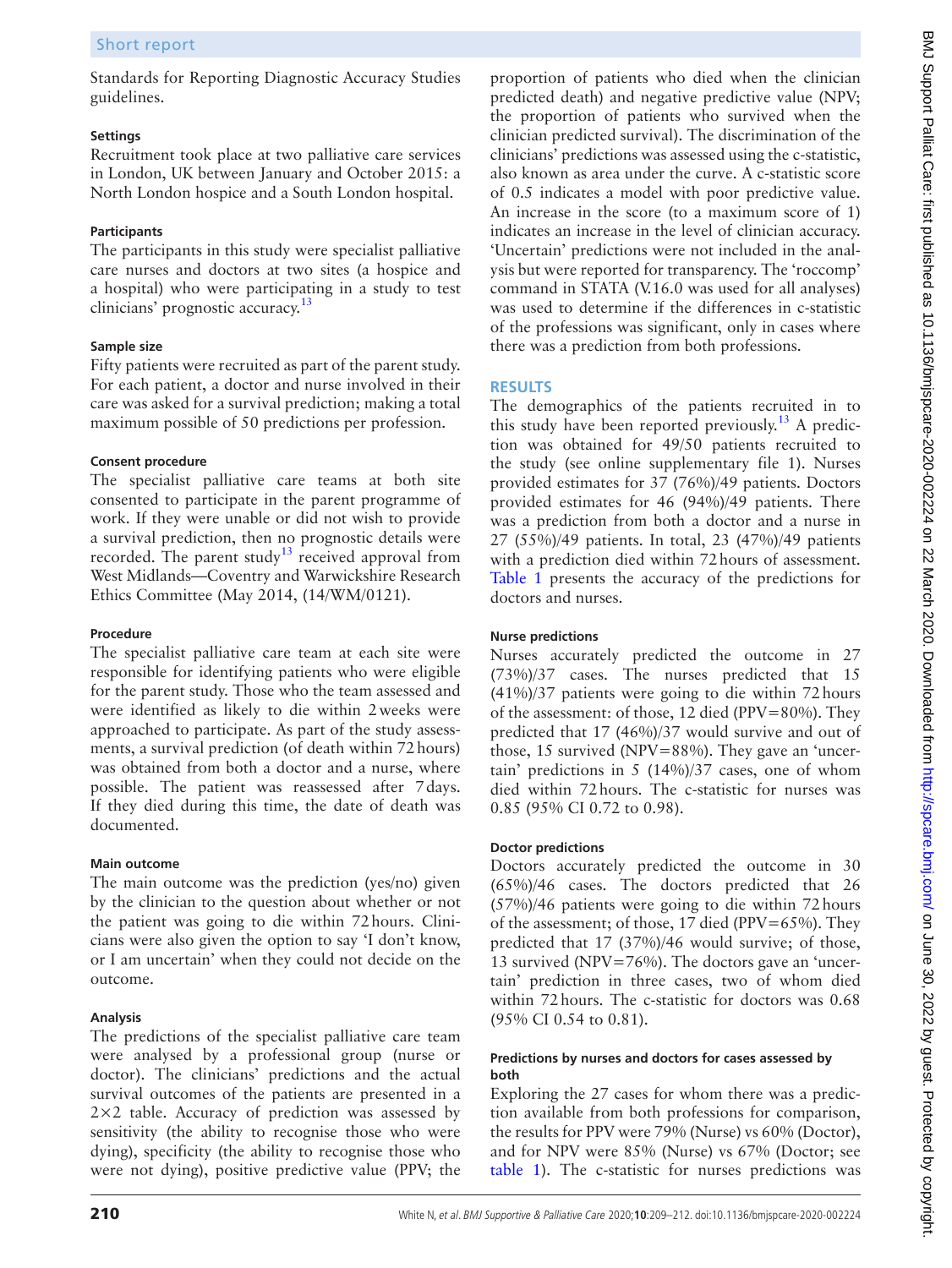Standards for Reporting Diagnostic Accuracy Studies guidelines.

## **Settings**

Recruitment took place at two palliative care services in London, UK between January and October 2015: a North London hospice and a South London hospital.

# **Participants**

The participants in this study were specialist palliative care nurses and doctors at two sites (a hospice and a hospital) who were participating in a study to test clinicians' prognostic accuracy.<sup>13</sup>

## **Sample size**

Fifty patients were recruited as part of the parent study. For each patient, a doctor and nurse involved in their care was asked for a survival prediction; making a total maximum possible of 50 predictions per profession.

## **Consent procedure**

The specialist palliative care teams at both site consented to participate in the parent programme of work. If they were unable or did not wish to provide a survival prediction, then no prognostic details were recorded. The parent study<sup>[13](#page-3-6)</sup> received approval from West Midlands—Coventry and Warwickshire Research Ethics Committee (May 2014, (14/WM/0121).

## **Procedure**

The specialist palliative care team at each site were responsible for identifying patients who were eligible for the parent study. Those who the team assessed and were identified as likely to die within 2weeks were approached to participate. As part of the study assessments, a survival prediction (of death within 72hours) was obtained from both a doctor and a nurse, where possible. The patient was reassessed after 7days. If they died during this time, the date of death was documented.

## **Main outcome**

The main outcome was the prediction (yes/no) given by the clinician to the question about whether or not the patient was going to die within 72hours. Clinicians were also given the option to say 'I don't know, or I am uncertain' when they could not decide on the outcome.

# **Analysis**

The predictions of the specialist palliative care team were analysed by a professional group (nurse or doctor). The clinicians' predictions and the actual survival outcomes of the patients are presented in a 2×2 table. Accuracy of prediction was assessed by sensitivity (the ability to recognise those who were dying), specificity (the ability to recognise those who were not dying), positive predictive value (PPV; the

proportion of patients who died when the clinician predicted death) and negative predictive value (NPV; the proportion of patients who survived when the clinician predicted survival). The discrimination of the clinicians' predictions was assessed using the c-statistic, also known as area under the curve. A c-statistic score of 0.5 indicates a model with poor predictive value. An increase in the score (to a maximum score of 1) indicates an increase in the level of clinician accuracy. 'Uncertain' predictions were not included in the analysis but were reported for transparency. The 'roccomp' command in STATA (V.16.0 was used for all analyses) was used to determine if the differences in c-statistic of the professions was significant, only in cases where there was a prediction from both professions.

# **Results**

The demographics of the patients recruited in to this study have been reported previously.<sup>[13](#page-3-6)</sup> A prediction was obtained for 49/50 patients recruited to the study (see [online supplementary file 1](https://dx.doi.org/10.1136/bmjspcare-2020-002224)). Nurses provided estimates for 37 (76%)/49 patients. Doctors provided estimates for 46 (94%)/49 patients. There was a prediction from both a doctor and a nurse in 27 (55%)/49 patients. In total, 23 (47%)/49 patients with a prediction died within 72hours of assessment. [Table](#page-2-0) 1 presents the accuracy of the predictions for doctors and nurses.

## **Nurse predictions**

Nurses accurately predicted the outcome in 27 (73%)/37 cases. The nurses predicted that 15 (41%)/37 patients were going to die within 72hours of the assessment: of those, 12 died (PPV=80%). They predicted that 17 (46%)/37 would survive and out of those, 15 survived (NPV=88%). They gave an 'uncertain' predictions in 5 (14%)/37 cases, one of whom died within 72hours. The c-statistic for nurses was 0.85 (95% CI 0.72 to 0.98).

# **Doctor predictions**

Doctors accurately predicted the outcome in 30 (65%)/46 cases. The doctors predicted that 26 (57%)/46 patients were going to die within 72hours of the assessment; of those, 17 died (PPV=65%). They predicted that 17 (37%)/46 would survive; of those, 13 survived (NPV=76%). The doctors gave an 'uncertain' prediction in three cases, two of whom died within 72hours. The c-statistic for doctors was 0.68 (95% CI 0.54 to 0.81).

## **Predictions by nurses and doctors for cases assessed by both**

Exploring the 27 cases for whom there was a prediction available from both professions for comparison, the results for PPV were 79% (Nurse) vs 60% (Doctor), and for NPV were 85% (Nurse) vs 67% (Doctor; see [table](#page-2-0) 1). The c-statistic for nurses predictions was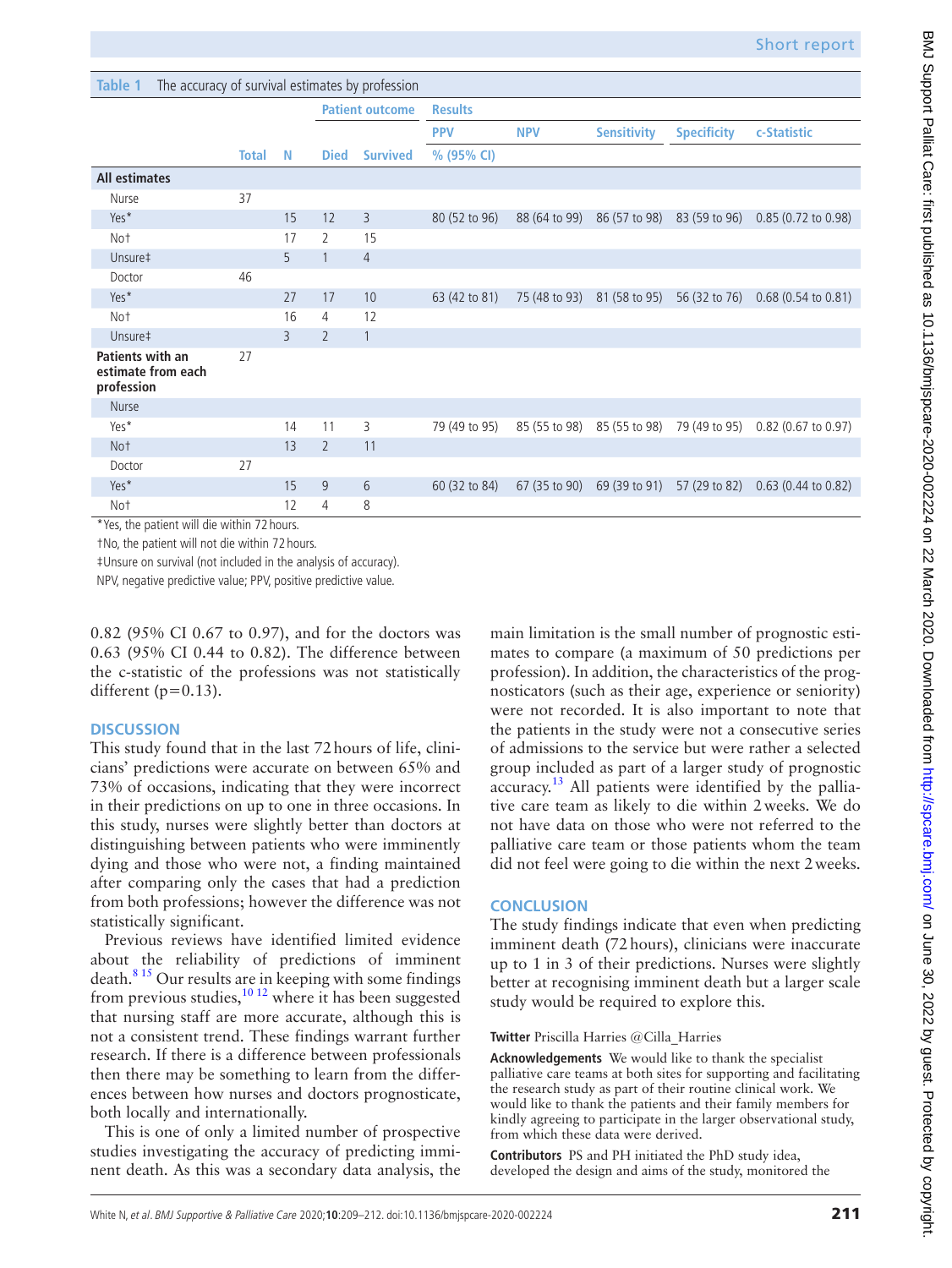<span id="page-2-0"></span>

| Table 1<br>The accuracy of survival estimates by profession               |              |    |                        |                 |                |               |                    |                    |                               |
|---------------------------------------------------------------------------|--------------|----|------------------------|-----------------|----------------|---------------|--------------------|--------------------|-------------------------------|
|                                                                           |              |    | <b>Patient outcome</b> |                 | <b>Results</b> |               |                    |                    |                               |
|                                                                           |              |    |                        |                 | <b>PPV</b>     | <b>NPV</b>    | <b>Sensitivity</b> | <b>Specificity</b> | c-Statistic                   |
|                                                                           | <b>Total</b> | N  | <b>Died</b>            | <b>Survived</b> | % (95% CI)     |               |                    |                    |                               |
| <b>All estimates</b>                                                      |              |    |                        |                 |                |               |                    |                    |                               |
| Nurse                                                                     | 37           |    |                        |                 |                |               |                    |                    |                               |
| Yes*                                                                      |              | 15 | 12                     | 3               | 80 (52 to 96)  | 88 (64 to 99) | 86 (57 to 98)      | 83 (59 to 96)      | $0.85(0.72 \text{ to } 0.98)$ |
| Not                                                                       |              | 17 | 2                      | 15              |                |               |                    |                    |                               |
| Unsure‡                                                                   |              | 5  |                        | $\overline{4}$  |                |               |                    |                    |                               |
| Doctor                                                                    | 46           |    |                        |                 |                |               |                    |                    |                               |
| Yes*                                                                      |              | 27 | 17                     | 10              | 63 (42 to 81)  | 75 (48 to 93) | 81 (58 to 95)      | 56 (32 to 76)      | $0.68(0.54 \text{ to } 0.81)$ |
| Not                                                                       |              | 16 | $\overline{4}$         | 12              |                |               |                    |                    |                               |
| Unsure‡                                                                   |              | 3  | $\overline{2}$         | 1               |                |               |                    |                    |                               |
| Patients with an<br>estimate from each<br>profession                      | 27           |    |                        |                 |                |               |                    |                    |                               |
| Nurse                                                                     |              |    |                        |                 |                |               |                    |                    |                               |
| Yes*                                                                      |              | 14 | 11                     | 3               | 79 (49 to 95)  | 85 (55 to 98) | 85 (55 to 98)      | 79 (49 to 95)      | $0.82$ (0.67 to 0.97)         |
| Not                                                                       |              | 13 | $\overline{2}$         | 11              |                |               |                    |                    |                               |
| Doctor                                                                    | 27           |    |                        |                 |                |               |                    |                    |                               |
| Yes*                                                                      |              | 15 | 9                      | 6               | 60 (32 to 84)  | 67 (35 to 90) | 69 (39 to 91)      | 57 (29 to 82)      | $0.63$ (0.44 to 0.82)         |
| Not<br>$*$ Mean the consistence of the discontractors. $\pi \circ$ become |              | 12 | $\overline{4}$         | 8               |                |               |                    |                    |                               |

Yes, the patient will die within 72 hours.

†No, the patient will not die within 72 hours.

‡Unsure on survival (not included in the analysis of accuracy).

NPV, negative predictive value; PPV, positive predictive value.

0.82 (95% CI 0.67 to 0.97), and for the doctors was 0.63 (95% CI 0.44 to 0.82). The difference between the c-statistic of the professions was not statistically different ( $p=0.13$ ).

## **Discussion**

This study found that in the last 72hours of life, clinicians' predictions were accurate on between 65% and 73% of occasions, indicating that they were incorrect in their predictions on up to one in three occasions. In this study, nurses were slightly better than doctors at distinguishing between patients who were imminently dying and those who were not, a finding maintained after comparing only the cases that had a prediction from both professions; however the difference was not statistically significant.

Previous reviews have identified limited evidence about the reliability of predictions of imminent death. $8<sup>15</sup>$  Our results are in keeping with some findings from previous studies,<sup>10 12</sup> where it has been suggested that nursing staff are more accurate, although this is not a consistent trend. These findings warrant further research. If there is a difference between professionals then there may be something to learn from the differences between how nurses and doctors prognosticate, both locally and internationally.

This is one of only a limited number of prospective studies investigating the accuracy of predicting imminent death. As this was a secondary data analysis, the main limitation is the small number of prognostic estimates to compare (a maximum of 50 predictions per profession). In addition, the characteristics of the prognosticators (such as their age, experience or seniority) were not recorded. It is also important to note that the patients in the study were not a consecutive series of admissions to the service but were rather a selected group included as part of a larger study of prognostic accuracy.<sup>13</sup> All patients were identified by the palliative care team as likely to die within 2weeks. We do not have data on those who were not referred to the palliative care team or those patients whom the team did not feel were going to die within the next 2weeks.

## **Conclusion**

The study findings indicate that even when predicting imminent death (72hours), clinicians were inaccurate up to 1 in 3 of their predictions. Nurses were slightly better at recognising imminent death but a larger scale study would be required to explore this.

## **Twitter** Priscilla Harries [@Cilla\\_Harries](https://twitter.com/Cilla_Harries)

**Acknowledgements** We would like to thank the specialist palliative care teams at both sites for supporting and facilitating the research study as part of their routine clinical work. We would like to thank the patients and their family members for kindly agreeing to participate in the larger observational study, from which these data were derived.

**Contributors** PS and PH initiated the PhD study idea, developed the design and aims of the study, monitored the